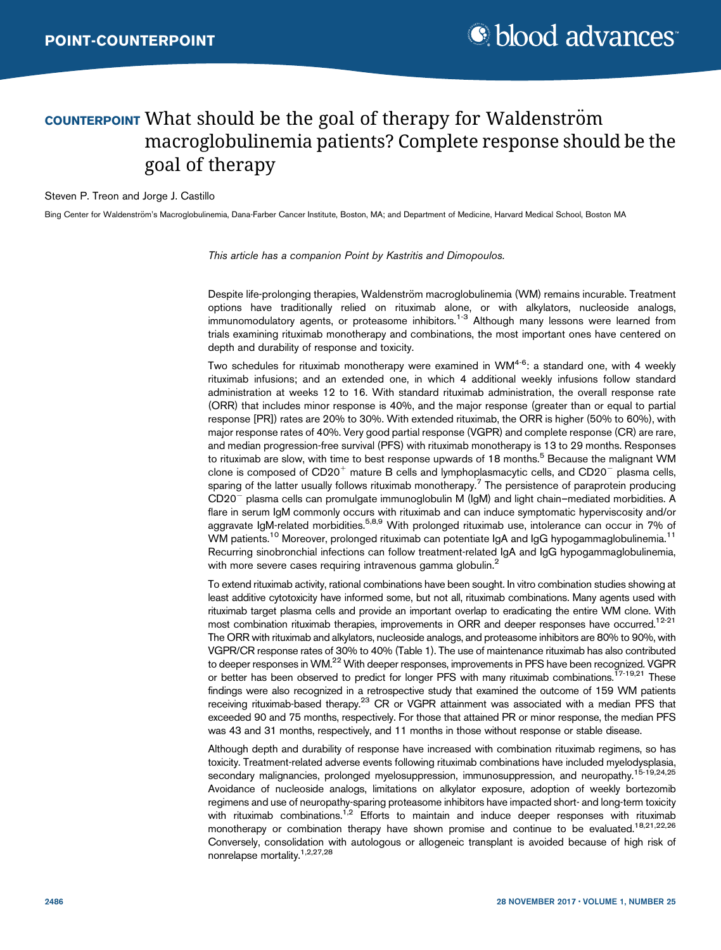# COUNTERPOINT What should be the goal of therapy for Waldenström macroglobulinemia patients? Complete response should be the goal of therapy

#### Steven P. Treon and Jorge J. Castillo

Bing Center for Waldenström's Macroglobulinemia, Dana-Farber Cancer Institute, Boston, MA; and Department of Medicine, Harvard Medical School, Boston MA

This article has a companion [Point by Kastritis and Dimopoulos.](http://www.bloodadvances.org/content/1/25/2483)

Despite life-prolonging therapies, Waldenström macroglobulinemia (WM) remains incurable. Treatment options have traditionally relied on rituximab alone, or with alkylators, nucleoside analogs, immunomodulatory agents, or proteasome inhibitors.<sup>1-3</sup> Although many lessons were learned from trials examining rituximab monotherapy and combinations, the most important ones have centered on depth and durability of response and toxicity.

Two schedules for rituximab monotherapy were examined in WM $4-6$ : a standard one, with 4 weekly rituximab infusions; and an extended one, in which 4 additional weekly infusions follow standard administration at weeks 12 to 16. With standard rituximab administration, the overall response rate (ORR) that includes minor response is 40%, and the major response (greater than or equal to partial response [PR]) rates are 20% to 30%. With extended rituximab, the ORR is higher (50% to 60%), with major response rates of 40%. Very good partial response (VGPR) and complete response (CR) are rare, and median progression-free survival (PFS) with rituximab monotherapy is 13 to 29 months. Responses to rituximab are slow, with time to best response upwards of 18 months.<sup>5</sup> Because the malignant WM clone is composed of  $CD20<sup>+</sup>$  mature B cells and lymphoplasmacytic cells, and  $CD20<sup>-</sup>$  plasma cells, sparing of the latter usually follows rituximab monotherapy.<sup>7</sup> The persistence of paraprotein producing CD20<sup>-</sup> plasma cells can promulgate immunoglobulin M (IgM) and light chain–mediated morbidities. A flare in serum IgM commonly occurs with rituximab and can induce symptomatic hyperviscosity and/or aggravate IgM-related morbidities.<sup>5,8,9</sup> With prolonged rituximab use, intolerance can occur in 7% of WM patients.<sup>10</sup> Moreover, prolonged rituximab can potentiate IgA and IgG hypogammaglobulinemia.<sup>11</sup> Recurring sinobronchial infections can follow treatment-related IgA and IgG hypogammaglobulinemia, with more severe cases requiring intravenous gamma globulin.<sup>2</sup>

To extend rituximab activity, rational combinations have been sought. In vitro combination studies showing at least additive cytotoxicity have informed some, but not all, rituximab combinations. Many agents used with rituximab target plasma cells and provide an important overlap to eradicating the entire WM clone. With most combination rituximab therapies, improvements in ORR and deeper responses have occurred.<sup>12-21</sup> The ORR with rituximab and alkylators, nucleoside analogs, and proteasome inhibitors are 80% to 90%, with VGPR/CR response rates of 30% to 40% (Table 1). The use of maintenance rituximab has also contributed to deeper responses in WM.<sup>22</sup> With deeper responses, improvements in PFS have been recognized. VGPR or better has been observed to predict for longer PFS with many rituximab combinations.<sup>17-19,21</sup> These findings were also recognized in a retrospective study that examined the outcome of 159 WM patients receiving rituximab-based therapy.<sup>23</sup> CR or VGPR attainment was associated with a median PFS that exceeded 90 and 75 months, respectively. For those that attained PR or minor response, the median PFS was 43 and 31 months, respectively, and 11 months in those without response or stable disease.

Although depth and durability of response have increased with combination rituximab regimens, so has toxicity. Treatment-related adverse events following rituximab combinations have included myelodysplasia, secondary malignancies, prolonged myelosuppression, immunosuppression, and neuropathy.<sup>15-19,24,25</sup> Avoidance of nucleoside analogs, limitations on alkylator exposure, adoption of weekly bortezomib regimens and use of neuropathy-sparing proteasome inhibitors have impacted short- and long-term toxicity with rituximab combinations.<sup>1,2</sup> Efforts to maintain and induce deeper responses with rituximab monotherapy or combination therapy have shown promise and continue to be evaluated.<sup>18,21,22,26</sup> Conversely, consolidation with autologous or allogeneic transplant is avoided because of high risk of nonrelapse mortality.1,2,27,28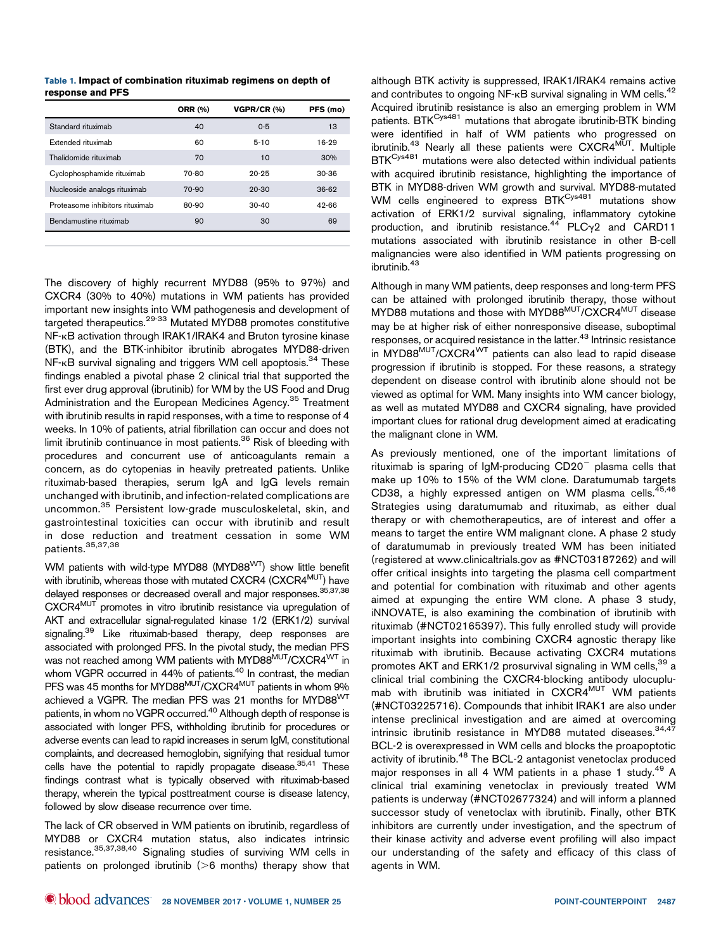|                                 | <b>ORR (%)</b> | VGPR/CR (%) | PFS (mo) |
|---------------------------------|----------------|-------------|----------|
| Standard rituximab              | 40             | $0 - 5$     | 13       |
| Extended rituximab              | 60             | $5 - 10$    | 16-29    |
| Thalidomide rituximab           | 70             | 10          | 30%      |
| Cyclophosphamide rituximab      | 70-80          | $20 - 25$   | $30-36$  |
| Nucleoside analogs rituximab    | 70-90          | $20 - 30$   | $36-62$  |
| Proteasome inhibitors rituximab | 80-90          | $30-40$     | 42-66    |
| Bendamustine rituximab          | 90             | 30          | 69       |
|                                 |                |             |          |

The discovery of highly recurrent MYD88 (95% to 97%) and CXCR4 (30% to 40%) mutations in WM patients has provided important new insights into WM pathogenesis and development of targeted therapeutics.29-33 Mutated MYD88 promotes constitutive NF-kB activation through IRAK1/IRAK4 and Bruton tyrosine kinase (BTK), and the BTK-inhibitor ibrutinib abrogates MYD88-driven NF-KB survival signaling and triggers WM cell apoptosis.<sup>34</sup> These findings enabled a pivotal phase 2 clinical trial that supported the first ever drug approval (ibrutinib) for WM by the US Food and Drug Administration and the European Medicines Agency.<sup>35</sup> Treatment with ibrutinib results in rapid responses, with a time to response of 4 weeks. In 10% of patients, atrial fibrillation can occur and does not limit ibrutinib continuance in most patients.<sup>36</sup> Risk of bleeding with procedures and concurrent use of anticoagulants remain a concern, as do cytopenias in heavily pretreated patients. Unlike rituximab-based therapies, serum IgA and IgG levels remain unchanged with ibrutinib, and infection-related complications are uncommon.<sup>35</sup> Persistent low-grade musculoskeletal, skin, and gastrointestinal toxicities can occur with ibrutinib and result in dose reduction and treatment cessation in some WM patients.35,37,38

WM patients with wild-type MYD88 (MYD88<sup>WT</sup>) show little benefit with ibrutinib, whereas those with mutated CXCR4 (CXCR4<sup>MUT</sup>) have delayed responses or decreased overall and major responses.<sup>35,37,38</sup> CXCR4MUT promotes in vitro ibrutinib resistance via upregulation of AKT and extracellular signal-regulated kinase 1/2 (ERK1/2) survival signaling.<sup>39</sup> Like rituximab-based therapy, deep responses are associated with prolonged PFS. In the pivotal study, the median PFS was not reached among WM patients with MYD88MUT/CXCR4<sup>WT</sup> in whom VGPR occurred in 44% of patients.<sup>40</sup> In contrast, the median PFS was 45 months for MYD88<sup>MUT</sup>/CXCR4<sup>MUT</sup> patients in whom 9% achieved a VGPR. The median PFS was 21 months for MYD88WT patients, in whom no VGPR occurred.<sup>40</sup> Although depth of response is associated with longer PFS, withholding ibrutinib for procedures or adverse events can lead to rapid increases in serum IgM, constitutional complaints, and decreased hemoglobin, signifying that residual tumor cells have the potential to rapidly propagate disease.<sup>35,41</sup> These findings contrast what is typically observed with rituximab-based therapy, wherein the typical posttreatment course is disease latency, followed by slow disease recurrence over time.

The lack of CR observed in WM patients on ibrutinib, regardless of MYD88 or CXCR4 mutation status, also indicates intrinsic resistance.35,37,38,40 Signaling studies of surviving WM cells in patients on prolonged ibrutinib  $(>6$  months) therapy show that

although BTK activity is suppressed, IRAK1/IRAK4 remains active and contributes to ongoing NF- $\kappa$ B survival signaling in WM cells.<sup>42</sup> Acquired ibrutinib resistance is also an emerging problem in WM patients. BTKCys481 mutations that abrogate ibrutinib-BTK binding were identified in half of WM patients who progressed on ibrutinib.<sup>43</sup> Nearly all these patients were  $\text{CXCR4}^{\text{MUT}}$ . Multiple BTK<sup>Cys481</sup> mutations were also detected within individual patients with acquired ibrutinib resistance, highlighting the importance of BTK in MYD88-driven WM growth and survival. MYD88-mutated WM cells engineered to express BTK<sup>Cys481</sup> mutations show activation of ERK1/2 survival signaling, inflammatory cytokine production, and ibrutinib resistance.<sup>44</sup> PLC $\gamma$ 2 and CARD11 mutations associated with ibrutinib resistance in other B-cell malignancies were also identified in WM patients progressing on ibrutinib.<sup>43</sup>

Although in many WM patients, deep responses and long-term PFS can be attained with prolonged ibrutinib therapy, those without MYD88 mutations and those with MYD88<sup>MUT</sup>/CXCR4<sup>MUT</sup> disease may be at higher risk of either nonresponsive disease, suboptimal responses, or acquired resistance in the latter.<sup>43</sup> Intrinsic resistance in MYD88MUT/CXCR4WT patients can also lead to rapid disease progression if ibrutinib is stopped. For these reasons, a strategy dependent on disease control with ibrutinib alone should not be viewed as optimal for WM. Many insights into WM cancer biology, as well as mutated MYD88 and CXCR4 signaling, have provided important clues for rational drug development aimed at eradicating the malignant clone in WM.

As previously mentioned, one of the important limitations of rituximab is sparing of IgM-producing  $CD20^-$  plasma cells that make up 10% to 15% of the WM clone. Daratumumab targets CD38, a highly expressed antigen on WM plasma cells. $45,46$ Strategies using daratumumab and rituximab, as either dual therapy or with chemotherapeutics, are of interest and offer a means to target the entire WM malignant clone. A phase 2 study of daratumumab in previously treated WM has been initiated (registered at [www.clinicaltrials.gov](http://www.clinicaltrials.gov) as #NCT03187262) and will offer critical insights into targeting the plasma cell compartment and potential for combination with rituximab and other agents aimed at expunging the entire WM clone. A phase 3 study, iNNOVATE, is also examining the combination of ibrutinib with rituximab (#NCT02165397). This fully enrolled study will provide important insights into combining CXCR4 agnostic therapy like rituximab with ibrutinib. Because activating CXCR4 mutations promotes AKT and ERK1/2 prosurvival signaling in WM cells,<sup>39</sup> a clinical trial combining the CXCR4-blocking antibody ulocuplumab with ibrutinib was initiated in CXCR4<sup>MUT</sup> WM patients (#NCT03225716). Compounds that inhibit IRAK1 are also under intense preclinical investigation and are aimed at overcoming intrinsic ibrutinib resistance in MYD88 mutated diseases.<sup>34,47</sup> BCL-2 is overexpressed in WM cells and blocks the proapoptotic activity of ibrutinib.<sup>48</sup> The BCL-2 antagonist venetoclax produced major responses in all 4 WM patients in a phase 1 study.<sup>49</sup> A clinical trial examining venetoclax in previously treated WM patients is underway (#NCT02677324) and will inform a planned successor study of venetoclax with ibrutinib. Finally, other BTK inhibitors are currently under investigation, and the spectrum of their kinase activity and adverse event profiling will also impact our understanding of the safety and efficacy of this class of agents in WM.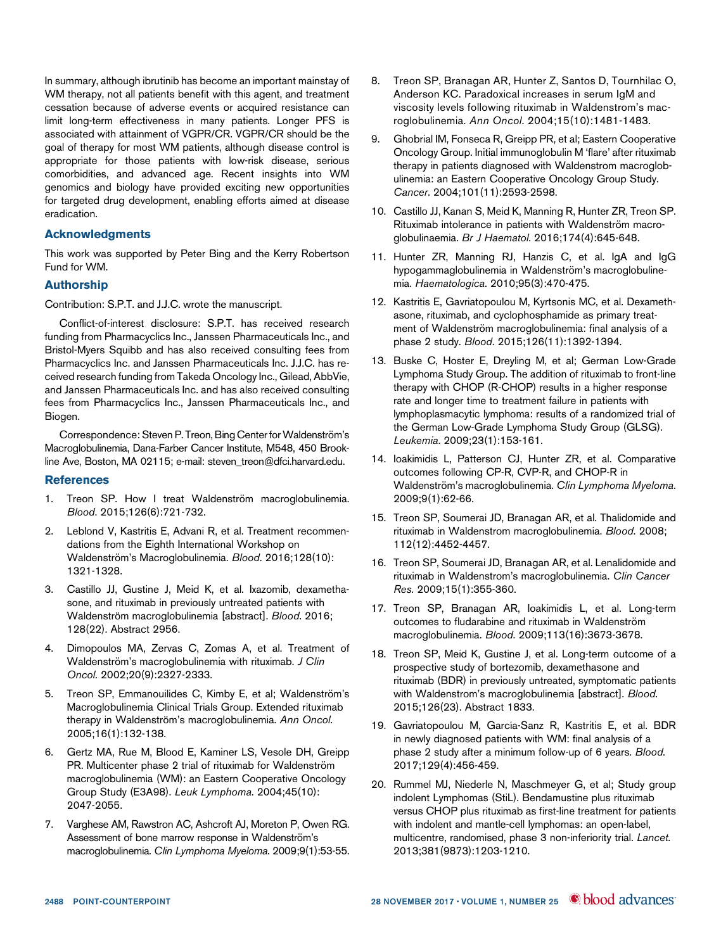In summary, although ibrutinib has become an important mainstay of WM therapy, not all patients benefit with this agent, and treatment cessation because of adverse events or acquired resistance can limit long-term effectiveness in many patients. Longer PFS is associated with attainment of VGPR/CR. VGPR/CR should be the goal of therapy for most WM patients, although disease control is appropriate for those patients with low-risk disease, serious comorbidities, and advanced age. Recent insights into WM genomics and biology have provided exciting new opportunities for targeted drug development, enabling efforts aimed at disease eradication.

### Acknowledgments

This work was supported by Peter Bing and the Kerry Robertson Fund for WM.

## Authorship

Contribution: S.P.T. and J.J.C. wrote the manuscript.

Conflict-of-interest disclosure: S.P.T. has received research funding from Pharmacyclics Inc., Janssen Pharmaceuticals Inc., and Bristol-Myers Squibb and has also received consulting fees from Pharmacyclics Inc. and Janssen Pharmaceuticals Inc. J.J.C. has received research funding from Takeda Oncology Inc., Gilead, AbbVie, and Janssen Pharmaceuticals Inc. and has also received consulting fees from Pharmacyclics Inc., Janssen Pharmaceuticals Inc., and Biogen.

Correspondence: Steven P. Treon, Bing Center for Waldenström's Macroglobulinemia, Dana-Farber Cancer Institute, M548, 450 Brookline Ave, Boston, MA 02115; e-mail: [steven\\_treon@dfci.harvard.edu](mailto:steven_treon@dfci.harvard.edu).

### References

- 1. Treon SP. How I treat Waldenström macroglobulinemia. Blood. 2015;126(6):721-732.
- 2. Leblond V, Kastritis E, Advani R, et al. Treatment recommendations from the Eighth International Workshop on Waldenström's Macroglobulinemia. Blood. 2016;128(10): 1321-1328.
- 3. Castillo JJ, Gustine J, Meid K, et al. Ixazomib, dexamethasone, and rituximab in previously untreated patients with Waldenström macroglobulinemia [abstract]. Blood. 2016; 128(22). Abstract 2956.
- 4. Dimopoulos MA, Zervas C, Zomas A, et al. Treatment of Waldenström's macroglobulinemia with rituximab. J Clin Oncol. 2002;20(9):2327-2333.
- 5. Treon SP, Emmanouilides C, Kimby E, et al; Waldenström's Macroglobulinemia Clinical Trials Group. Extended rituximab therapy in Waldenström's macroglobulinemia. Ann Oncol. 2005;16(1):132-138.
- 6. Gertz MA, Rue M, Blood E, Kaminer LS, Vesole DH, Greipp PR. Multicenter phase 2 trial of rituximab for Waldenström macroglobulinemia (WM): an Eastern Cooperative Oncology Group Study (E3A98). Leuk Lymphoma. 2004;45(10): 2047-2055.
- 7. Varghese AM, Rawstron AC, Ashcroft AJ, Moreton P, Owen RG. Assessment of bone marrow response in Waldenström's macroglobulinemia. Clin Lymphoma Myeloma. 2009;9(1):53-55.
- 8. Treon SP, Branagan AR, Hunter Z, Santos D, Tournhilac O, Anderson KC. Paradoxical increases in serum IgM and viscosity levels following rituximab in Waldenstrom's macroglobulinemia. Ann Oncol. 2004;15(10):1481-1483.
- 9. Ghobrial IM, Fonseca R, Greipp PR, et al; Eastern Cooperative Oncology Group. Initial immunoglobulin M 'flare' after rituximab therapy in patients diagnosed with Waldenstrom macroglobulinemia: an Eastern Cooperative Oncology Group Study. Cancer. 2004;101(11):2593-2598.
- 10. Castillo JJ, Kanan S, Meid K, Manning R, Hunter ZR, Treon SP. Rituximab intolerance in patients with Waldenström macroglobulinaemia. Br J Haematol. 2016;174(4):645-648.
- 11. Hunter ZR, Manning RJ, Hanzis C, et al. IgA and IgG hypogammaglobulinemia in Waldenström's macroglobulinemia. Haematologica. 2010;95(3):470-475.
- 12. Kastritis E, Gavriatopoulou M, Kyrtsonis MC, et al. Dexamethasone, rituximab, and cyclophosphamide as primary treatment of Waldenström macroglobulinemia: final analysis of a phase 2 study. Blood. 2015;126(11):1392-1394.
- 13. Buske C, Hoster E, Dreyling M, et al; German Low-Grade Lymphoma Study Group. The addition of rituximab to front-line therapy with CHOP (R-CHOP) results in a higher response rate and longer time to treatment failure in patients with lymphoplasmacytic lymphoma: results of a randomized trial of the German Low-Grade Lymphoma Study Group (GLSG). Leukemia. 2009;23(1):153-161.
- 14. Ioakimidis L, Patterson CJ, Hunter ZR, et al. Comparative outcomes following CP-R, CVP-R, and CHOP-R in Waldenström's macroglobulinemia. Clin Lymphoma Myeloma. 2009;9(1):62-66.
- 15. Treon SP, Soumerai JD, Branagan AR, et al. Thalidomide and rituximab in Waldenstrom macroglobulinemia. Blood. 2008; 112(12):4452-4457.
- 16. Treon SP, Soumerai JD, Branagan AR, et al. Lenalidomide and rituximab in Waldenstrom's macroglobulinemia. Clin Cancer Res. 2009;15(1):355-360.
- 17. Treon SP, Branagan AR, Ioakimidis L, et al. Long-term outcomes to fludarabine and rituximab in Waldenström macroglobulinemia. Blood. 2009;113(16):3673-3678.
- 18. Treon SP, Meid K, Gustine J, et al. Long-term outcome of a prospective study of bortezomib, dexamethasone and rituximab (BDR) in previously untreated, symptomatic patients with Waldenstrom's macroglobulinemia [abstract]. Blood. 2015;126(23). Abstract 1833.
- 19. Gavriatopoulou M, García-Sanz R, Kastritis E, et al. BDR in newly diagnosed patients with WM: final analysis of a phase 2 study after a minimum follow-up of 6 years. Blood. 2017;129(4):456-459.
- 20. Rummel MJ, Niederle N, Maschmeyer G, et al; Study group indolent Lymphomas (StiL). Bendamustine plus rituximab versus CHOP plus rituximab as first-line treatment for patients with indolent and mantle-cell lymphomas: an open-label, multicentre, randomised, phase 3 non-inferiority trial. Lancet. 2013;381(9873):1203-1210.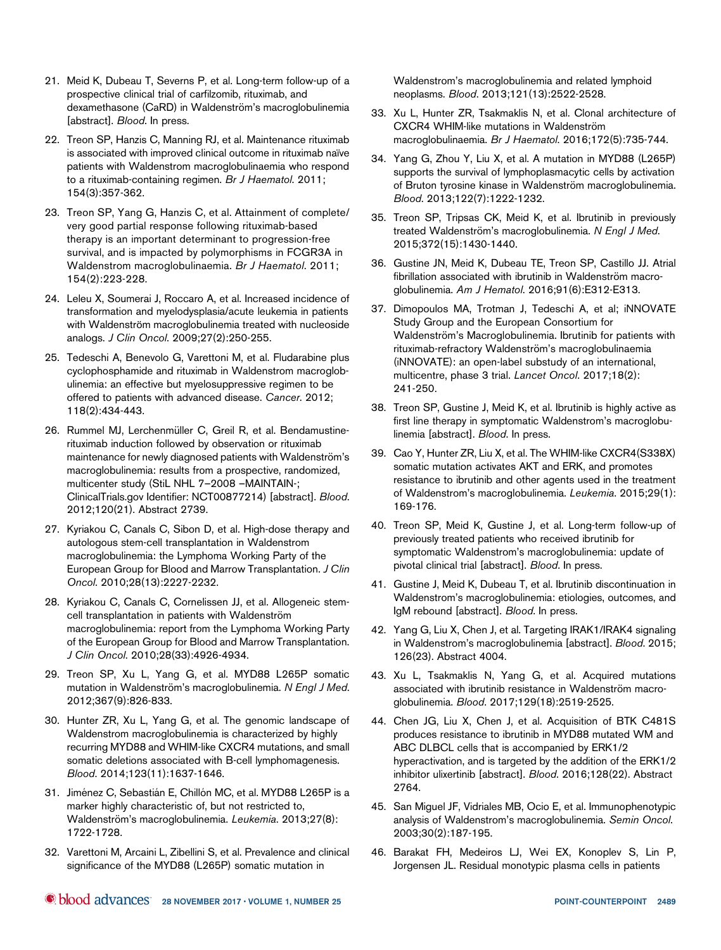- 21. Meid K, Dubeau T, Severns P, et al. Long-term follow-up of a prospective clinical trial of carfilzomib, rituximab, and dexamethasone (CaRD) in Waldenström's macroglobulinemia [abstract]. Blood. In press.
- 22. Treon SP, Hanzis C, Manning RJ, et al. Maintenance rituximab is associated with improved clinical outcome in rituximab naïve patients with Waldenstrom macroglobulinaemia who respond to a rituximab-containing regimen. Br J Haematol. 2011; 154(3):357-362.
- 23. Treon SP, Yang G, Hanzis C, et al. Attainment of complete/ very good partial response following rituximab-based therapy is an important determinant to progression-free survival, and is impacted by polymorphisms in FCGR3A in Waldenstrom macroglobulinaemia. Br J Haematol. 2011; 154(2):223-228.
- 24. Leleu X, Soumerai J, Roccaro A, et al. Increased incidence of transformation and myelodysplasia/acute leukemia in patients with Waldenström macroglobulinemia treated with nucleoside analogs. J Clin Oncol. 2009;27(2):250-255.
- 25. Tedeschi A, Benevolo G, Varettoni M, et al. Fludarabine plus cyclophosphamide and rituximab in Waldenstrom macroglobulinemia: an effective but myelosuppressive regimen to be offered to patients with advanced disease. Cancer. 2012; 118(2):434-443.
- 26. Rummel MJ, Lerchenmüller C, Greil R, et al. Bendamustinerituximab induction followed by observation or rituximab maintenance for newly diagnosed patients with Waldenström's macroglobulinemia: results from a prospective, randomized, multicenter study (StiL NHL 7–2008 –MAINTAIN-; ClinicalTrials.gov Identifier: NCT00877214) [abstract]. Blood. 2012;120(21). Abstract 2739.
- 27. Kyriakou C, Canals C, Sibon D, et al. High-dose therapy and autologous stem-cell transplantation in Waldenstrom macroglobulinemia: the Lymphoma Working Party of the European Group for Blood and Marrow Transplantation. J Clin Oncol. 2010;28(13):2227-2232.
- 28. Kyriakou C, Canals C, Cornelissen JJ, et al. Allogeneic stemcell transplantation in patients with Waldenström macroglobulinemia: report from the Lymphoma Working Party of the European Group for Blood and Marrow Transplantation. J Clin Oncol. 2010;28(33):4926-4934.
- 29. Treon SP, Xu L, Yang G, et al. MYD88 L265P somatic mutation in Waldenström's macroglobulinemia. N Engl J Med. 2012;367(9):826-833.
- 30. Hunter ZR, Xu L, Yang G, et al. The genomic landscape of Waldenstrom macroglobulinemia is characterized by highly recurring MYD88 and WHIM-like CXCR4 mutations, and small somatic deletions associated with B-cell lymphomagenesis. Blood. 2014;123(11):1637-1646.
- 31. Jiménez C, Sebastián E, Chillón MC, et al. MYD88 L265P is a marker highly characteristic of, but not restricted to, Waldenström's macroglobulinemia. Leukemia. 2013;27(8): 1722-1728.
- 32. Varettoni M, Arcaini L, Zibellini S, et al. Prevalence and clinical significance of the MYD88 (L265P) somatic mutation in

Waldenstrom's macroglobulinemia and related lymphoid neoplasms. Blood. 2013;121(13):2522-2528.

- 33. Xu L, Hunter ZR, Tsakmaklis N, et al. Clonal architecture of CXCR4 WHIM-like mutations in Waldenström macroglobulinaemia. Br J Haematol. 2016;172(5):735-744.
- 34. Yang G, Zhou Y, Liu X, et al. A mutation in MYD88 (L265P) supports the survival of lymphoplasmacytic cells by activation of Bruton tyrosine kinase in Waldenström macroglobulinemia. Blood. 2013;122(7):1222-1232.
- 35. Treon SP, Tripsas CK, Meid K, et al. Ibrutinib in previously treated Waldenström's macroglobulinemia. N Engl J Med. 2015;372(15):1430-1440.
- 36. Gustine JN, Meid K, Dubeau TE, Treon SP, Castillo JJ. Atrial fibrillation associated with ibrutinib in Waldenström macroglobulinemia. Am J Hematol. 2016;91(6):E312-E313.
- 37. Dimopoulos MA, Trotman J, Tedeschi A, et al; iNNOVATE Study Group and the European Consortium for Waldenström's Macroglobulinemia. Ibrutinib for patients with rituximab-refractory Waldenström's macroglobulinaemia (iNNOVATE): an open-label substudy of an international, multicentre, phase 3 trial. Lancet Oncol. 2017;18(2): 241-250.
- 38. Treon SP, Gustine J, Meid K, et al. Ibrutinib is highly active as first line therapy in symptomatic Waldenstrom's macroglobulinemia [abstract]. Blood. In press.
- 39. Cao Y, Hunter ZR, Liu X, et al. The WHIM-like CXCR4(S338X) somatic mutation activates AKT and ERK, and promotes resistance to ibrutinib and other agents used in the treatment of Waldenstrom's macroglobulinemia. Leukemia. 2015;29(1): 169-176.
- 40. Treon SP, Meid K, Gustine J, et al. Long-term follow-up of previously treated patients who received ibrutinib for symptomatic Waldenstrom's macroglobulinemia: update of pivotal clinical trial [abstract]. Blood. In press.
- 41. Gustine J, Meid K, Dubeau T, et al. Ibrutinib discontinuation in Waldenstrom's macroglobulinemia: etiologies, outcomes, and IgM rebound [abstract]. Blood. In press.
- 42. Yang G, Liu X, Chen J, et al. Targeting IRAK1/IRAK4 signaling in Waldenstrom's macroglobulinemia [abstract]. Blood. 2015; 126(23). Abstract 4004.
- 43. Xu L, Tsakmaklis N, Yang G, et al. Acquired mutations associated with ibrutinib resistance in Waldenström macroglobulinemia. Blood. 2017;129(18):2519-2525.
- 44. Chen JG, Liu X, Chen J, et al. Acquisition of BTK C481S produces resistance to ibrutinib in MYD88 mutated WM and ABC DLBCL cells that is accompanied by ERK1/2 hyperactivation, and is targeted by the addition of the ERK1/2 inhibitor ulixertinib [abstract]. Blood. 2016;128(22). Abstract 2764.
- 45. San Miguel JF, Vidriales MB, Ocio E, et al. Immunophenotypic analysis of Waldenstrom's macroglobulinemia. Semin Oncol. 2003;30(2):187-195.
- 46. Barakat FH, Medeiros LJ, Wei EX, Konoplev S, Lin P, Jorgensen JL. Residual monotypic plasma cells in patients